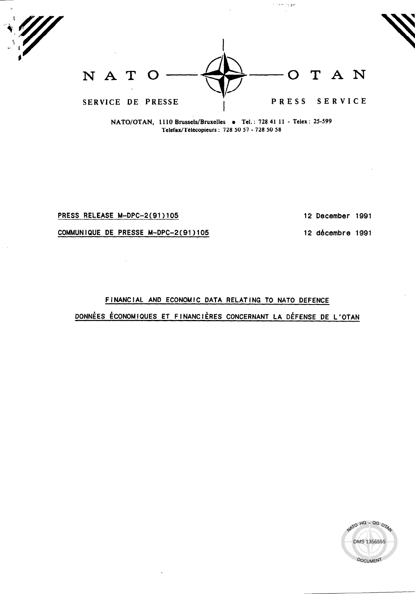| - 79. |                   | $\sim$ | 그는 그 화가 나 잘 걸음이<br>$\sim 10^{-11}$ |  |
|-------|-------------------|--------|------------------------------------|--|
| 44.   |                   |        |                                    |  |
|       | NATO              |        | T A N<br>O                         |  |
|       | SERVICE DE PRESSE |        | PRESS SERVICE                      |  |

NATO/OTAN, 1110 Brussels/Bruxelles . Tel.: 728 41 11 - Telex: 25-599 Telefax/Télécopieurs: 728 50 57 - 728 50 58

PRESS RELEASE M-DPC-2(91)105

12 December 1991

COMMUNIQUE DE PRESSE M-DPC-2(91)105

12 décembre 1991

FINANCIAL AND ECONOMIC DATA RELATING TO NATO DEFENCE DONNÉES ÉCONOMIQUES ET FINANCIÈRES CONCERNANT LA DÉFENSE DE L'OTAN

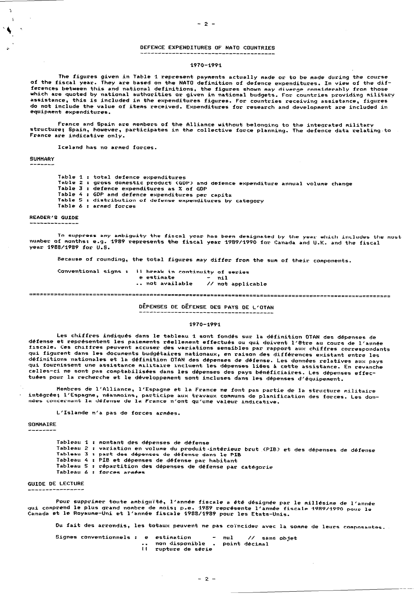## DEFENCE EXPENDITURES OF NATO COUNTRIES

#### $1970 - 1991$

The figures given in Table 1 represent payments actually made or to be made during the course of the fiscal year. They are based on the NATO definition of defence expenditures. In view of the differences between this and national definitions, the figures shown may diverge considerably from those which are quoted by national authorities or given in national budgets. For countries providing military assistance, this is included in the expenditures figures. For countries receiving assistance, figures do not include the value of items received. Expenditures for research and development are included in equipment expenditures.

France and Spain are members of the Alliance without belonging to the integrated military<br>structure; Spain, however, participates in the collective force planning. The defence data relating to France are indicative only.

Iceland has no armed forces.

SUMMARY

 $\Delta$  $\mathbf{S}$ 

۹

Table 1 : total defence expenditures Table 1 : coval detence expenditures<br>Table 2 : gross domestic product (GDP) and defence expenditure annual volume change<br>Table 3 : defence expenditures as % of GDP Table 4 : GDP and defence expenditures per capita Table 5 : distribution of defense expenditures by category Table 6 : armed forces

**READER'S GUIDE** 

To suppress any ambiguity the fiscal year has been designated by the year which includes the most number of months: e.g. 1989 represents the fiscal year 1989/1990 for Canada and U.K. and the fiscal year 1988/1989 for U.S.

Because of rounding, the total figures may differ from the sum of their components.

Conventional signs : 11 break in continuity of series e estimate  $ni1$ // not applicable .. not available

DÉPENSES DE DÉFENSE DES PAYS DE L'OTAN

#### $1970 - 1991$

Les chiffres indiqués dans le tableau 1 sont fondés sur la définition OTAN des dépenses de défense et représentent les paiements réellement effectués ou qui doivent l'être au cours de l'année<br>fiscale. Ces chiffres peuvent accuser des variations sensibles par rapport aux chiffres correspondants qui figurent dans les documents budgétaires nationaux, en raison des différences existant entre les définitions nationales et la définition OTAN des dépenses de défense. Les données relatives aux pays qui fournissent une assistance militaire incluent les dépenses liées à cette assistance. En revanche celles-ci ne sont pas comptabilisées dans les dépenses des pays bénéficiaires. Les dépenses effectuées pour la recherche et le développement sont incluses dans les dépenses d'équipement.

Membres de l'Alliance, l'Espagne et la France ne font pas partie de la structure militaire intégrée; l'Espagne, néanmoins, participe aux travaux communs de planification des forces. Les données concernant la défense de la France n'ont qu'une valeur indicative.

L'Islande n'a pas de forces armées.

SOMMAIRE

Tableau 1 : montant des dépenses de défense Tableau 2 : variation en volume du produit intérieur brut (PIB) et des dépenses de défense Tableau 3 : part des dépenses de défense dans le PIB Tableau 4 : PIB et dépenses de défense par habitant Tableau 5 : répartition des dépenses de défense par catégorie Tableau 6 : forces armées

### **GUIDE DE LECTURE**

Pour supprimer toute ambiguïté, l'année fiscale a été désignée par le millésime de l'année<br>qui comprend le plus grand nombre de mois; p.e. 1989 représente l'année fiscale 1989/1990 pour le Canada et le Royaume-Uni et l'année fiscale 1988/1989 pour les Etats-Unis.

Du fait des arrondis, les totaux peuvent ne pas coïncider avec la somme de leurs composantes.

estimation - nul // sam<br>non-disponible . point-décimal Signes conventionnels : e estimation // sans objet Il rupture de série

 $\sim$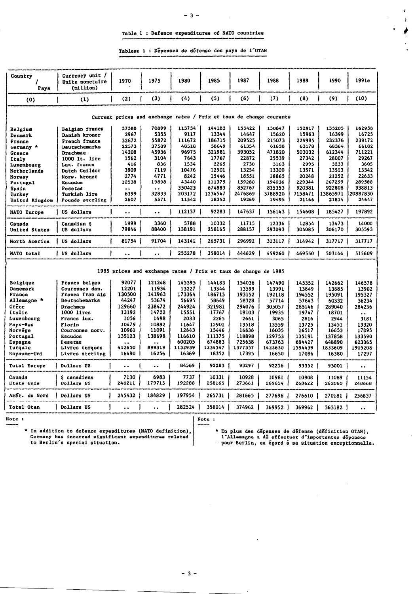$\bar{z}$ 

## Table 1 : Defence expenditures of NATO countries

## Tableau 1 : Dépenses de défense des pays de l'OTAN

| Country<br>Pays         | Currency unit /<br>Unite monetaire<br>$($ million $)$ | 1970                                                                | 1975                 | 1980           | 1985            | 1987            | 1988            | 1989            | 1990            | 1991e                |
|-------------------------|-------------------------------------------------------|---------------------------------------------------------------------|----------------------|----------------|-----------------|-----------------|-----------------|-----------------|-----------------|----------------------|
| (0)                     | (1)                                                   | (2)                                                                 | (3)                  | (4)            | (5)             | (6)             | (7)             | (8)             | (9)             | (10)                 |
|                         |                                                       | Current prices and exchange rates / Prix et taux de change courants |                      |                |                 |                 |                 |                 |                 |                      |
|                         |                                                       |                                                                     |                      |                |                 |                 |                 |                 |                 |                      |
| Belgium                 | Belgian francs                                        | 37388<br>2967                                                       | 70899<br>5355        | 115754<br>9117 | 144183<br>13344 | 155422<br>14647 | 150647<br>15620 | 152917<br>15963 | 155205<br>16399 | 162958<br>16725      |
| Denmark                 | Danish kroner                                         | 32672                                                               | 55872                | 111672         | 186715          | 209525          | 215073          | 224985          | 232376          | 239172               |
| France<br>Germany *     | French francs<br>Deutschemarks                        | 22573                                                               | 37589                | 48518          | 58649           | 61354           | 61638           | 63178           | 68364           | 66182                |
| Greece                  | Drachmae                                              | 14208                                                               | 45936                | 96975          | 321981          | 393052          | 471820          | 503032          | 612344          | 711221               |
| Italy                   | 1000 It. lire                                         | 1562                                                                | 3104                 | 7643           | 17767           | 22872           | 25539           | 27342           | 28007           | 29267                |
| Luxembourg              | Lux. francs                                           | 416                                                                 | 836                  | 1534           | 2265            | 2730            | 3163            | 2995            | 3233            | 3605                 |
| Netherlands             | <b>Dutch Guilder</b>                                  | 3909                                                                | 7119                 | 10476          | 12901           | 13254           | 13300           | 13571           | 13513           | 13542                |
| Norway                  | Norw. kroner                                          | 2774                                                                | 4771                 | 8242           | 15446           | 18551           | 18865           | 20248           | 21252           | 22633                |
| Portugal                | Escudos                                               | 12538                                                               | 19898                | 43440          | 111375          | 159288          | 194036          | 229344          | 267299          | 289588               |
| Spain                   | Pesetas                                               | ٠.                                                                  |                      | 350423         | 674883          | 852767          | 835353          | 920381          | 922808          | 938813               |
| Turkey                  | Turkish lire                                          | 6399                                                                | 32833                | 203172         | 1234547         | 2476869         | 3788920         | 7158471         | 13865971        | 20887830             |
| United Kingdom          | Pounds sterling                                       | 2607                                                                | 5571                 | 11542          | 18352           | 19269           | 19495           | 21166           | 21814           | 24647                |
| NATO Europe             | US dollars                                            | $\ddot{\phantom{0}}$                                                | $\ddot{\phantom{0}}$ | 112137         | 92283           | 147637          | 156143          | 154608          | 185427          | 197892               |
| Canada<br>United States | Canadian S<br><b>US dollars</b>                       | 1999<br>79846                                                       | 3360<br>88400        | 5788<br>138191 | 10332<br>258165 | 11715<br>288157 | 12336<br>293093 | 12854<br>304085 | 13473<br>306170 | 14000<br>305593      |
|                         |                                                       |                                                                     |                      |                |                 |                 |                 |                 |                 |                      |
| North America           | US dollars                                            | 81754                                                               | 91704                | 143141         | 265731          | 296992          | 303117          | 314942          | 317717          | 317717               |
| NATO total              | US dollars                                            | $\ddot{\phantom{0}}$                                                | $\ddot{\phantom{0}}$ | 255278         | 358014          | 444629          | 459260          | 469550          | 503144          | 515609               |
|                         |                                                       | 1985 prices and exchange rates / Prix et taux de change de 1985     |                      |                |                 |                 |                 |                 |                 |                      |
| Belgique                | Francs belges                                         | 92077                                                               | 121248               | 145395         | 144183          | 154036          | 147490          | 145352          | 142662          | 146578               |
| <b>Danemark</b>         | Couronnes dan.                                        | 12201                                                               | 11934                | 13227          | 13344           | 13599           | 13991           | 13849           | 13885           | 13902                |
| France                  | Francs fran ais                                       | 130500                                                              | 141963               | 173364         | 186715          | 193152          | 192118          | 194552          | 195091          | 195327               |
| Allemagne *             | Deutschemarks                                         | 44247                                                               | 53674                | 56695          | 58649           | 58328           | 57714           | 57643           | 60332           | 56234                |
| Grece                   | Drachmes                                              | 129660                                                              | 238472               | 244924         | 321981          | 294076          | 305057          | 285146          | 289040          | 284236               |
| Italie                  | 1000 lires                                            | 13192                                                               | 14722                | 15551          | 17767           | 19103           | 19935           | 19747           | 18701           |                      |
| Luxembourg              | Francs lux.                                           | 1056<br>10479                                                       | 1498<br>10882        | 2033<br>11647  | 2265<br>12901   | 2661            | 3065            | 2816            | 2944            | 3181                 |
| Pays-Bas<br>Norvège     | Florin<br>Couronnes norv.                             | 10961                                                               | 11091                | 12643          | 15446           | 13518<br>16636  | 13559<br>16035  | 13725<br>16517  | 13451<br>16653  | 13320<br>17095       |
| Portugal                | Escudos                                               | 135123                                                              | 138698               | 116610         | 111375          | 118898          | 129753          | 135191          | 137858          | 133590               |
| Espagne                 | Pesetas                                               |                                                                     |                      | 600205         | 674883          | 725638          | 673763          | 694427          | 648890          | 623365               |
| Turquie                 | Livres turques                                        | 412650                                                              | 899319               | 1132939        | 1234547         | 1377357         | 1423630         | 1594439         | 1833609         | 1905208              |
| <b>Royaume-Uni</b>      | Livres sterling                                       | 16490                                                               | 16256                | 16369          | 18352           | 17395           | 16650           | 17086           | 16380           | 17297                |
| <b>Total Europe</b>     | Dollars US                                            |                                                                     |                      | 84569          | 92283           | 93297           | 92256           | 93352           | 93001           | $\ddot{\phantom{0}}$ |
| Canada                  | \$ canadiens                                          | 7130                                                                | 6983                 | 7737           | 10331           | 10928           | 10981           | 10908           | 11089           | 11154                |
| Etats-Unis              | Dollars US                                            | 240211                                                              | 179715               | 192288         | 258165          | 273661          | 269654          | 268622          | 262060          | 248668               |
| Amér. du Nord           | Dollars US                                            | 245432                                                              | 184829               | 197954         | 265731          | 281665          | 277696          | 276610          | 270181          | 256837               |
| <b>Total Otan</b>       | <b>Dollars US</b>                                     | $\ddot{\phantom{0}}$                                                |                      | 282524         | 358014          | 374962 J        | 369952          | 369962          | 363182          |                      |

Note:

Note:

\* In addition to defence expenditures (NATO definition),<br>Germany has incurred significant expenditures related<br>to Berlin's special situation.

\* En plus des dépenses de défense (définition OTAN),<br>1<sup>7</sup>Allemagne a dû effectuer d'importantes dépenses<br>pour Berlin, eu égard à sa situation exceptionnelle.

 $\bar{\mathbf{r}}$ 

Ý.

 $\ddot{4}$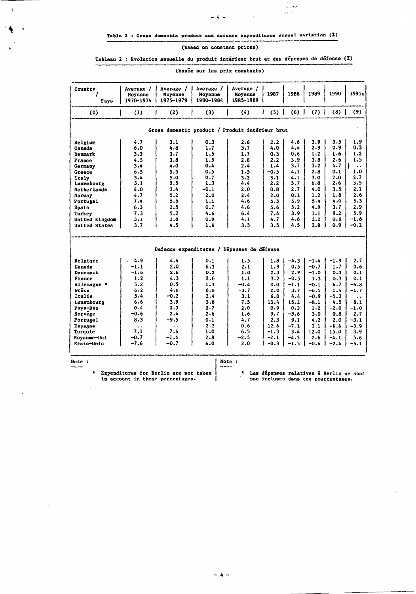# Table 2 : Gross domestic product and defence expenditures annual variation (2) ----- ----------------.-----

#### (based on constant prices)

# Tableau 2 : Evolution annuelle du produit intcrieur brut et des de'penses de d8fense (2) -------- ---- ----- me------I\_L-----I

| Country<br>Pays | Average /<br>Moyenne<br>1970-1974 | Average /<br>Moyenne<br>1975-1979               | Average /<br>Moyenne<br>1980-1984 | Average $/$<br>Moyenne<br>1985-1989 | 1987   | 1988   | 1989    | 1990   | 1991e                |
|-----------------|-----------------------------------|-------------------------------------------------|-----------------------------------|-------------------------------------|--------|--------|---------|--------|----------------------|
| (0)             | (1)                               | (2)                                             | (3)                               | (4)                                 | $(5)$  | $(6)$  | $(7)$ 1 | $(8)$  | (9)                  |
|                 |                                   | Gross domestic product / Produit intérieur brut |                                   |                                     |        |        |         |        |                      |
| Belgium         | 4.7                               | 3.1                                             | 0.3                               | 2.6                                 | 2.2    | 4.6    | 3.9     | 3.5    | 1.9                  |
| Canada          | 6.0                               | 4.8                                             | 1.7                               | 3.7                                 | 4.0    | 4.4    | 2.9     | 0.9    | 0.3                  |
| Denmark         | 3.3                               | 3.7                                             | 1.5                               | 1.7                                 | 0.3    | 0.6    | 1.2     | 1.6    | 1.2                  |
| France          | 4.5                               | 3.8                                             | 1.5                               | 2.8                                 | 2.2    | 3.9    | 3.8     | 2.6    | 1.5                  |
| Germany         | 3.4                               | 4.0                                             | 0.4                               | 2.4                                 | 1.4    | 3.7    | 3.2     | 4.7    | $\ddot{\phantom{a}}$ |
| Greece          | 6.5                               | 5.3                                             | 0.5                               | 1.5                                 | $-0.5$ | 4.1    | 2.8     | 0.1    | 1.0                  |
| Italy           | 3.4                               | 5.0                                             | 0.7                               | 3.2                                 | 3.1    | 4.1    | 3.0     | 2.0    | 2.7                  |
| Luxembourg      | 5.1                               | 2.5                                             | 1.3                               | 4.4                                 | 2.2    | 5.7    | 6.8     | 2.6    | 3.5                  |
| Netherlands     | 4.0                               | 3.4                                             | $-0.1$                            | 2.0                                 | 0.8    | 2.7    | 4.0     | 3.5    | 2.1                  |
| Norway          | 4.7                               | 5.2                                             | 2.0                               | 2.4                                 | 2.0    | 0.1    | 1.2     | 1.8    | 2.6                  |
| Portugal        | 7.4                               | 5.5                                             | 1.1                               | 4.6                                 | 5.3    | 3.9    | 5.4     | 4.0    | 3.3                  |
| Spain           | 6.3                               | 2.5                                             | 0.7                               | 4.6                                 | 5.6    | 5.2    | 4.9     | 3.7    | 2.9                  |
| Turkey          | 7.3                               | 5.2                                             | 4.6                               | 6.4                                 | 7.4    | 3.9    | 1.1     | 9.2    | 5.9                  |
| United Kingdom  | 3.1                               | 2.8                                             | 0.9                               | 4.1                                 | 4.7    | 4.6    | 2.2     | 0.6    | $-1.8$               |
| United States   | 3.7                               | 4.5                                             | 1.6                               | 3.5                                 | 3.5    | 4.5    | 2.8     | 0.9    | $-0.2$               |
|                 |                                   | Defence expenditures / Dépenses de défense      |                                   |                                     |        |        |         |        |                      |
| Belgique        | 4.9                               | 4.4                                             | 0.1                               | 1.5                                 | 1.8    | $-4.3$ | $-1.4$  | $-1.9$ | 2.7                  |
| Canada          | $-1.1$                            | 2.0                                             | 6.3                               | 2.1                                 | 1.9    | 0.5    | $-0.7$  | 1.7    | 0.6                  |
| Danemark        | $-1.6$                            | 2.6                                             | 0.2                               | 1.0                                 | 2.3    | 2.9    | $-1.0$  | 0.3    | 0.1                  |
| France          | 1.2                               | 4.3                                             | 2.6                               | 1.1                                 | 3.2    | $-0.5$ | 1.3     | 0.3    | 0.1                  |
| Allemagne *     | 5.2                               | 0.5                                             | 1.3                               | $-0.4$                              | 0.0    | $-1.1$ | $-0.1$  | 4.7    | $-6.8$               |
| Grèce           | 6.2                               | 4.6                                             | 8.0                               | $-3.7$                              | 2.0    | 3.7    | $-6.5$  | 1.4    | $-1.7$               |
| Italie          | 5.4                               | $-0.2$                                          | 2.4                               | 3.1                                 | 6.0    | 4.4    | $-0.9$  | $-5.3$ | $\ddot{\phantom{0}}$ |
| Luxembourg      | 6.6                               | 3.9                                             | 3.8                               | 7.5                                 | 13.4   | 15.2   | $-8.1$  | 4.5    | 8.1                  |
| Pays-Bas        | 0.4                               | 2.3                                             | 2.7                               | 2.0                                 | 0.9    | 0.3    | 1.2     | $-2.0$ | $-1.0$               |
| Norvege         | -0.6                              | 2.4                                             | 2.6                               | 1.6                                 | 9.7    | $-3.6$ | 3.0     | 0.8    | 2.7                  |
| Portugal        | 8.3                               | $-9.5$                                          | 0.1                               | 4.7                                 | 2.3    | 9.1    | 4.2     | 2.0    | $-3.1$               |
| Espagne         | $\ddot{\phantom{0}}$              | $\ddot{\phantom{0}}$                            | 2.2                               | 0.6                                 | 12.6   | $-7.1$ | 3.1     | $-6.6$ | $-3.9$               |
| Turquie         | 7.1                               | 7.6                                             | 1.0                               | 6.5                                 | $-1.3$ | 3.4    | 12.0    | 15.0   | 3.9                  |
| Rovaume-Uni     | $-0.7$                            | $-1.4$                                          | 2.8                               | $-2.5$                              | $-2.1$ | $-4.3$ | 2.6     | $-4.1$ | 5.6                  |
| Etats-Unis      | $-7.6$                            | $-0.7$                                          | 6.0                               | 2.0                                 | $-0.3$ | $-1.5$ | $-0.4$  | $-2.4$ | $-5.1$               |
|                 |                                   |                                                 |                                   |                                     |        |        |         |        |                      |
|                 |                                   |                                                 |                                   |                                     |        |        |         |        |                      |

 $-4-$ 

(basée sur les prix constants)

 $-$ 

 $\Delta$ 

\* Expenditures for Berlin are not taken<br>in account in these percentages.

\* Les dépenses relatives à Berlin ne sont pas incluses dans ces pourcentages.

 $\langle \cdot, \cdot \rangle$  . Then  $\langle \cdot, \cdot \rangle$  of the space

 $\sqrt{3}$  ,  $\gamma$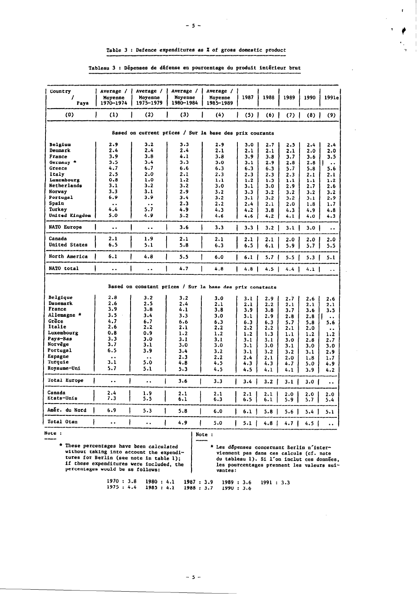### Table 3 : Defence expenditures as % of gross domestic product

 $\pmb{\epsilon}$ 

| Country<br>Pays        | Average /  <br>Moyenne<br>1970-1974 | Average $/$ $\vert$<br>Moyenne<br>1975–1979 | Average $/ \vert$<br>Moyenne<br>1980-1984 | Average /  <br>Moyenne<br>1985-1989                       | 1987       | 1988             | 1989             | 1990       | 1991e                |
|------------------------|-------------------------------------|---------------------------------------------|-------------------------------------------|-----------------------------------------------------------|------------|------------------|------------------|------------|----------------------|
| (0)                    | $\Omega$                            | (2)                                         | (3)                                       | (4)                                                       | I<br>$(5)$ | (6) I            | $(7)$ 1          | $(8)$      | (9)                  |
|                        |                                     |                                             |                                           | Based on current prices / Sur la base des prix courants   |            |                  |                  |            |                      |
| Belgium<br>Denmark     | 2.9<br>2.4                          | 3.2<br>2.4                                  | 3.3<br>2.4                                | 2.9<br>2.1                                                | 3.0        | 2.7              | 2.5              | 2.4        | 2.4                  |
| France                 | 3.9                                 | 3.8                                         | 4.1                                       | 3.8                                                       | 2.1<br>3.9 | 2.1<br>3.8       | 2.1<br>3.7       | 2.0<br>3.6 | 2.0<br>3.5           |
| Germany *              | 3.5                                 | 3.4                                         | 3.3                                       | 3.0                                                       | 3.1        | 2.9              | 2.8              | 2.8        | $\ddot{\phantom{a}}$ |
| Greece                 | 4.7                                 | 6.7                                         | 6.6                                       | 6.3                                                       | 6.3        | 6.3              | 5.7              | 5.8        | 5.6                  |
| Italy                  | 2.5                                 | 2.0                                         | 2.1                                       | 2.3                                                       | 2.3        | 2.3              | 2.3              | 2.1        | 2.1                  |
| Luxembourg             | 0.8                                 | 1.0                                         | 1.2                                       | 1.1                                                       | 1.2        | 1.3              | 1.1              | 1.1        | 1.2                  |
| Netherlands            | 3.1                                 | 3.2                                         | $3 - 2$                                   | 3.0                                                       | 3.1        | 3.0              | 2.9              | 2.7        | 2.6                  |
| Norway                 | 3.3                                 | 3.1                                         | 2.9                                       | 3.2                                                       | 3.3        | 3.2              | 3.2              | 3.2        | 3.2                  |
| Portugal               | 6.9                                 | 3.9                                         | 3.4                                       | 3.2                                                       | 3.1        | 3.2              | 3.2              | 3.1        | 2.9                  |
| Spain                  | $\bullet$ .                         | $\ddot{\phantom{0}}$                        | $2 - 3$                                   | 2.2                                                       | 2.4        | 2.1              | 2.0              | 1.8        | 1.7                  |
| Turkey                 | 4.4                                 | 5.7                                         | 4.9                                       | 4.3                                                       | 4.2        | 3.8              | 4.3              | 4.9        | 4.8                  |
| United Kingdom         | 5.0                                 | 4.9                                         | 5.2                                       | 4.6                                                       | 4.6        | 4.2              | 4.1              | 4.0        | 4.3                  |
| <b>NATO Europe</b>     | $\ddot{\phantom{0}}$                | . .                                         | ł<br>3.6                                  | 3.3                                                       | 3.3        | 3.2 <sub>1</sub> | 3.1              | 3.0        | $\ddot{\phantom{0}}$ |
| Canada                 | 2.1                                 | 1.9                                         | 2.1                                       | 2.1                                                       | 2.1        | 2.1              | 2.0              | 2.0        | 2.0                  |
| United States          | 6.5                                 | 5.1                                         | 5.8                                       | 6.3                                                       | 6.5        | 6.1              | 5.9              | 5.7        | 5.5                  |
| North America          | 6.1                                 | 4.8                                         | ł<br>5.5                                  | 6.0                                                       | 6.1 I      | 5.7              | 5.5              | 5.3        | 5.1                  |
| j<br><b>NATO</b> total | ł<br>                               | . .                                         | 1<br>4.7                                  | 4.8                                                       | I<br>4.8 I | 4.5 I            | 4.4              | $4.1$      | $\ddot{\phantom{0}}$ |
|                        |                                     |                                             |                                           | Based on constant prices / Sur la base des prix constants |            |                  |                  |            |                      |
| Belgique               | 2.8                                 | 3.2                                         | 3.2                                       | 3.0                                                       | 3.1        | 2.9              | 2.7              | 2.6        | 2.6                  |
| Danemark               | 2.6                                 | 2.5                                         | 2.4                                       | 2.1                                                       | 2.1        | 2.2              | 2.1              | 2.1        | 2.1                  |
| France                 | 3.9                                 | 3.8                                         | 4.1                                       | 3.8                                                       | 3.9        | 3.8              | 3.7              | 3.6        | 3.5                  |
| Allemagne *            | 3.5                                 | 3.4                                         | 3.3                                       | 3.0                                                       | 3.1        | 2.9              | 2.8              | 2.8        | ٠.                   |
| Grèce                  | 4.7                                 | 6.7                                         | 6.6                                       | 6.3                                                       | 6.3        | 6.3              | 5.7              | 5.8        | 5.6                  |
| Italie                 | 2.6                                 | 2.2                                         | 2.1                                       | 2.2                                                       | 2.2        | 2.2              | 2.1              | 2.0        | $\cdot \cdot$        |
| Luxembourg             | 0.8                                 | 0.9                                         | 1.2                                       | 1.2                                                       | 1.2        | 1.3              | 1.1              | 1.2        | 1.2                  |
| Pays-Bas               | 3.3                                 | 3.0                                         | 3.1                                       | 3.1                                                       | 3.1        | 3.1              | 3.0              | 2.8        | 2.7                  |
| Norvège                | 3.7<br>6.5                          | 3.1                                         | 3.0                                       | 3.0                                                       | 3.1        | 3.0              | 3.1              | 3.0        | 3.0                  |
| Portugal<br>Espagne    |                                     | 3.9                                         | 3.4                                       | 3.2                                                       | 3.1        | 3.2              | 3.2              | 3.1        | 2.9                  |
| Turquie                | $\cdot$<br>3.1                      | $\ddot{\phantom{a}}$<br>5.0                 | 2.3<br>4.8                                | 2.2<br>4.5                                                | 2.4        | 2.1              | 2.0              | 1.8        | 1.7                  |
| <b>Royaume-Uni</b>     | 5.7                                 | 5.1                                         | 5.3                                       | 4.5                                                       | 4.3<br>4.5 | 4.3<br>4.1       | 4.7<br>4.1       | 5.0<br>3.9 | 4.9<br>4.2           |
| Total Europe           | $\ddot{\phantom{0}}$                |                                             | 3.6                                       | 3.3                                                       | 3.4 I      | 3.2 I            | 3.1 <sub>1</sub> | 3.O I      | $\ddot{\phantom{0}}$ |
| Canada                 | 2.4                                 |                                             |                                           |                                                           |            |                  |                  |            |                      |
| Etats-Unis             | 7.3                                 | 1.9<br>5.5                                  | 2.1<br>6.1                                | 2.1<br>6.3                                                | 2.1<br>6.5 | 2.1<br>6.1       | 2.0<br>5.9       | 2.0<br>5.7 | 2.0<br>5.4           |
| Aměr. du Nord          | 6.9                                 | 5.3                                         | 5.8                                       | 6.0                                                       | 6.1        | 5.8              | 5.6              | 5.4        | 5.1                  |

## Tableau 3 : Dépenses de défense en pourcentage du produit intérieur brut

Note:

Total Otan

 $\overline{\phantom{a}}$ 

Note:

 $5.0$ 

 $| 5.1 |$ 

 $\mathbf{I}$ 

\* These percentages have been calculated<br>without taking into account the expendi-<br>tures for Berlin (see note in table 1); if these expenditures were included, the percentages would be as follows:

ł

ł

 $\ddot{\phantom{a}}$  .

 $4.9$ 

 $\ddot{\phantom{a}}$ 

\* Les dépenses concernant Berlin n'inter-<br>viennent pas dans ces calculs (cf. note du tableau 1). Si l'on inclut ces données, les pourcentages prennent les valeurs sui-<br>vantes:

 $4.8$ 

 $4.7$ |

 $4.5$ 

 $\ddot{\phantom{a}}$  .

 $1970 : 3.8 1980 : 4.1$ <br>1975: 4.4 1985: 4.1  $1987 : 3.9$ <br> $1988 : 3.7$ 1989: 3.6  $1991 : 3.3$ 1990: 3.6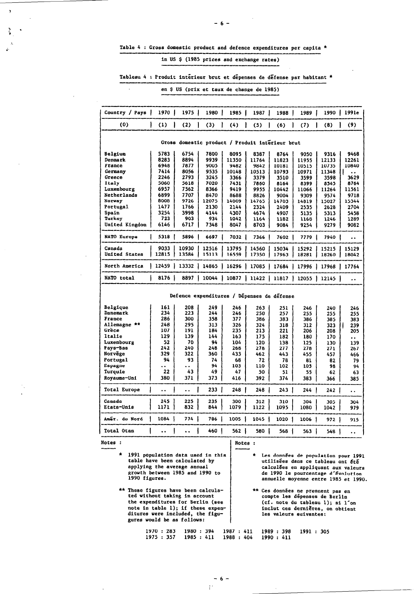$-6-$ 

#### Table 4 : Gross domestic product and defence expenditures per capita \*

# In US \$ (1985 prices and exchange rates)

#### Tableau 4 : Produit interieur brut et depenses de defense par habitant \*

#### en \$ US (prix et taux de change de 1985)

| Country / Pays        | 1970 l                     | 1975 l                                          | 1980 l       | 1985          | 1987 I                                | 1988           | 1989 I         | 1990 l                | 1991e                             |
|-----------------------|----------------------------|-------------------------------------------------|--------------|---------------|---------------------------------------|----------------|----------------|-----------------------|-----------------------------------|
| (0)                   | ı<br>$\left(1\right)$      | (2)<br>ı                                        | (3)          | (4)           | I<br>(5)                              | ı<br>(6)       | I<br>(7)       | ı<br>(8)              | (9)                               |
|                       |                            | Gross domestic product / Produit interieur brut |              |               |                                       |                |                |                       |                                   |
|                       |                            |                                                 |              |               |                                       |                |                |                       |                                   |
| <b>Belgium</b>        | 5783<br>8283               | 6754<br>8894                                    | 7800<br>9939 | 8095          | 8387                                  | 8764           | 9050           | 9316                  | 9468                              |
| Dennark<br>France     | 6948                       | 7877                                            | 9005         | 11350<br>9482 | 11764                                 | 11823          | 11955          | 12133                 | 12261<br>10840                    |
| Germany               | 7414                       | 8056                                            | 9535         | 10148         | 9842<br>10513                         | 10181<br>10793 | 10515<br>10971 | 10735<br>11348        |                                   |
| Greece                | 2246                       | 2793                                            | 3245         | 3366          | 3379                                  | 3510           | 3599           | 3598                  | ı<br>$\ddot{\phantom{0}}$<br>3629 |
| Italy                 | 5060                       | 5618                                            | 7020         | 7431          | 7860                                  | 8164           | 8399           | 8545                  | 8764                              |
| Luxembourg            | 6957                       | 7562                                            | 8366         | 9419          | 9955                                  | 10442          | 11066          | 11264                 | 11561                             |
| Netherlands           | 6899                       | 7707                                            | 8470         | 8688          | 8826                                  | 9004           | 9309           | 9574                  | 9718                              |
| Norway                | 8008                       | 9726                                            | 12075        | 14009         | 14765                                 | 14703          | 14819          | 15027                 | 15344                             |
| Portugal              | 1477                       | 1766                                            | 2130         | 2144          | 2324                                  | 2409           | 2535           | 2628                  | 2704                              |
| Spain                 | 3254                       | 3998                                            | 4144         | 4307          | 4674                                  | 4907           | 5135           | 5313                  | 5458                              |
| Turkey                | 723                        | 903                                             | 934          | 1042          | 1164                                  | 1182           | 1168           | 1246                  | 1289                              |
| United Kingdom        | 6146                       | 6717                                            | 7348         | 8047          | 8703                                  | 9084           | 9254           | 9279                  | 9082                              |
|                       |                            |                                                 |              |               |                                       |                |                |                       |                                   |
| <b>NATO Europe</b>    | 5318 l<br>1                | 5896<br>- 1                                     | 6697 l       | 7032 l        | 7366 l                                | 7602 l         | 7779 l         | 7940 l                | . .                               |
| Canada                | 9033                       | 10930                                           | 12516        | 13795         | 14560                                 | 15034          | 15292          | 15215                 | 15129                             |
| United States         | 12815                      | 13584                                           | 15113        | 16559         | 17350                                 | 17963          | 18281          | 18260                 | 18042                             |
| North America         |                            | 12459   13332   14865   16296   17085   17684   |              |               |                                       |                |                | 17996   17968   17764 |                                   |
| <b>NATO</b> total     | 8176 i                     | 8897                                            | $10044$      |               | 10877   11422   11817   12055   12145 |                |                |                       |                                   |
|                       |                            |                                                 |              |               |                                       |                |                |                       |                                   |
|                       |                            | Defence expenditures / Dépenses de défense      |              |               |                                       |                |                |                       |                                   |
|                       |                            |                                                 |              |               |                                       |                |                |                       |                                   |
| Belgique              | 161                        | 208                                             | 249          | 246           | 263                                   | 251            | 246            | 240                   | 246                               |
| Danemark              | 234                        | 223                                             | 244          | 246           | 250                                   | 257            | 255            | 255                   | 255                               |
| France                | 286                        | 300                                             | 358          | 377           | 386                                   | 383            | 386            | 385                   | 383                               |
| Allemagne **<br>Grèce | 248                        | 295                                             | 313          | 326           | 324                                   | 318            | 312            | 323                   | 239                               |
|                       | 107                        | 191                                             | 184          | 235           | 213                                   | 221            | 206            | 208                   | 205                               |
| Italie                | 129                        | 139                                             | 144          | 163           | 175                                   | 182            | 180            | 170                   |                                   |
| Luxembourg            | 52                         | 70                                              | 94           | 104           | 120                                   | 138            | 125            | 130                   | 139                               |
| Pays-Bas              | 242<br>329                 | 240<br>322                                      | 248          | 268           | 278                                   | 277            | 278            | 271                   | 267                               |
| Norvēge               | 94                         | 93                                              | 360          | 433           | 462                                   | 443            | 455            | 457                   | 466                               |
| Portugal              |                            |                                                 | 74<br>94     | 68            | 72                                    | 78             | 81             | 82                    | 79                                |
| Espagne               | $\ddot{\phantom{0}}$<br>22 | $\ddot{\phantom{0}}$<br>43                      |              | 103           | 110                                   | 102            | 105            | 98                    | 94                                |
| Turquie               |                            |                                                 | 49           | 47            | 50                                    | 51             | 55             | 62                    | 63                                |
| Royaume-Uni           | 380                        | 371                                             | 373          | 416           | 392                                   | 374            | 383            | 366                   | 385                               |
| Total Europe          | . .                        |                                                 | 233 I        | 248 I         | 248<br><b>I</b>                       | 243 I          | 244.           | 242 I<br>-1           | . .                               |
| Canada                | 245                        | 225                                             | 235          | 300           | 312                                   | 310            | 304            | 305.                  | 304                               |
| Etats-Unis            | 1171                       | 832                                             | 844          | 1079          | 1122                                  | 1095           | 1080           | 1042                  | 979                               |
| <b>Amér. du Nord</b>  | 1084<br>- 1                | 774<br>J                                        | 786          | 1005          | 1045<br>-1                            | 1020           | 1006           | 972 I                 | 915                               |
| <b>Total Otan</b>     | ł<br>$\ddot{\phantom{0}}$  | ł<br>$\ddot{\phantom{0}}$                       | 460 l        | 562           | 580 I                                 | 568 i          | 563 l          | 548                   | . .                               |
| <b>Notes :</b>        |                            |                                                 |              | Notes :       |                                       |                |                |                       |                                   |

 $\overline{ }$ 

- ---we -I- \* 1991 population data used In this table have been calculated by applying the average annual growth between 1985 and 1990 to 1990 figure
	- \*\* These figures have been calcul ted without taking in account the expenditures for Berlin (see note in table 1); if these expenditures were included, the figu gures would be as follows:

|  | 1970 : 283   1980 : 394   1987 : 411   1989 : 398   1991 : 305 |  |  |
|--|----------------------------------------------------------------|--|--|
|  | 1975 : 357   1985 : 411   1988 : 404   1990 : 411              |  |  |

Les données de population pour 1991 utilisées dans ce tableau ont été calculées en appliquant aux valeurs de 1990 le pourcentege d'evolution annuelle moyenne entre 1985 et 1990.

#### \*\* Ces données ne prennent pas en compte les dépenses de Berli (cf. note du tableau 1); si l'on inclut ces dernières, on obtien les valeurs suivante

-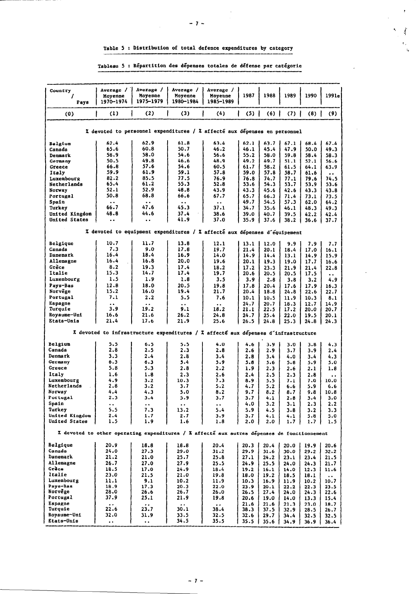# Table 5 : Distribution of total defence expenditures by category

 $-7 -$ 

 $\bar{z}$ 

 $\bar{\alpha}$ 

 $\ddot{\phantom{0}}$ 

×,

ė,

| Country                                                                                     | Average /                                                                          | Average /            | Average /            | Average /           |              |              |              |                  |                      |
|---------------------------------------------------------------------------------------------|------------------------------------------------------------------------------------|----------------------|----------------------|---------------------|--------------|--------------|--------------|------------------|----------------------|
|                                                                                             | Moyenne                                                                            | Moyenne              | Moyenne              | Moyenne             | 1987         | 1988         | 1989         | 1990             | 1991e                |
| Pays                                                                                        | 1970-1974                                                                          | 1975-1979            | 1980-1984            | 1985-1989           |              |              |              |                  |                      |
| (0)                                                                                         | (1)                                                                                | (2)<br>ŧ             | (3)                  | (4)                 | (5)          | $(6)$        | $(7)$ 1      | $(8)$            | (9)                  |
|                                                                                             |                                                                                    |                      |                      |                     |              |              |              |                  |                      |
|                                                                                             | % devoted to personnel expenditures / % affecté aux dépenses en personnel          |                      |                      |                     |              |              |              |                  |                      |
| Belgium                                                                                     | 62.4                                                                               | 62.9                 | 61.8                 | 63.4                | 62.1         | 63.7         | 67.1         | 68.4             | 67.4                 |
| Canada                                                                                      | 65.6                                                                               | 60.8                 | 50.7                 | 46.2                | 46.1         | 45.4         | 47.9         | 50.0             | 49.3                 |
| Denmark                                                                                     | 58.9                                                                               | 58.0                 | 54.6                 | 56.6                | 55.2         | 58.0         | 59.8         | 58.4             | 58.3                 |
| Germany                                                                                     | 50.5                                                                               | 49.8                 | 46.6                 | 48.9                | 49.2         | 49.7         | 51.1         | 52.1             | 56.6                 |
| Greece                                                                                      | 66.8<br>59.9                                                                       | 57.6<br>61.9         | 54.6<br>59.1         | 60.5                | 61.7         | 58.2         | 61.5         | 64.1             | 63.9                 |
| Italy<br>Luxembourg                                                                         | 82.2                                                                               | 85.5                 | 77.5                 | 57.8<br>76.9        | 59.0<br>76.8 | 57.8<br>74.7 | 58.7<br>77.1 | 61.6<br>79.6     | <br>74.5             |
| Netherlands                                                                                 | 65.4                                                                               | 61.2                 | 55.3                 | 52.8                | 53.6         | 54.3         | 53.7         | 53.9             | 53.6                 |
| Norway                                                                                      | 52.1                                                                               | 52.9                 | 48.8                 | 43.9                | 43.3         | 45.6         | 42.6         | 43.3             | 43.8                 |
| Portugal                                                                                    | 50.8                                                                               | 68.8                 | 66.6                 | 67.7                | 65.7         | 66.3         | 71.4         | 73.1             | 73.5                 |
| Spain                                                                                       | $\ddot{\phantom{1}}$                                                               | $\ddot{\phantom{0}}$ | $\ddot{\phantom{1}}$ | $\bullet$ $\bullet$ | 49.7         | 54.5         | 57.3         | 62.0             | 64.2                 |
| Turkey                                                                                      | 66.7                                                                               | 47.6                 | 45.3                 | 37.1                | 34.7         | 35.6         | 46.1         | 48.3             | 49.3                 |
| United Kingdom<br>United States                                                             | 48.8                                                                               | 44.6                 | 37.4                 | 38.6                | 39.0         | 40.7         | 39.5         | 42.2             | 42.4                 |
|                                                                                             | $\ddot{\phantom{0}}$                                                               | $\ddot{\phantom{0}}$ | 41.9                 | 37.0                | 35.9         | 37.6         | 38.2         | 36.6             | 37.7                 |
|                                                                                             | % devoted to equipment expenditures / % affecté aux dépenses d'équipement          |                      |                      |                     |              |              |              |                  |                      |
| Belgique                                                                                    | 10.7                                                                               | 11.7                 | 13.8                 | 12.1                | 13.1         | 12.0         | 9.9          | 7.9              | 7.7                  |
| Canada                                                                                      | 7.3                                                                                | 9.0                  | 17.8                 | 19.7                | 21.4         | 20.1         | 18.4         | 17.0             | 16.1                 |
| Danemark                                                                                    | 16.4                                                                               | 18.4                 | 16.9                 | 14.0                | 14.9         | 14.4         | 13.1         | 14.9             | 15.9                 |
| Allemagne                                                                                   | 16.4                                                                               | 16.8                 | 20.0                 | 19.6                | 20.1         | 19.3         | 19.0         | 17.7             | 16.6                 |
| Grèce                                                                                       | 8.2                                                                                | 19.3                 | 17.4                 | 18.2                | 17.2         | 23.3         | 21.9         | 21.4             | 22.8                 |
| Italie                                                                                      | 15.3                                                                               | 14.7                 | 17.4                 | 19.7                | 20.6         | 20.5         | 20.5         | 17.5             | $\bullet$            |
| Luxembourg                                                                                  | 1.5                                                                                | 1.9                  | 1.8                  | 3.5                 | 3.9          | 2.8          | 3.8          | 3.2              | 4.9                  |
| Pays-Bas<br>Norvege                                                                         | 12.8<br>15.2                                                                       | 18.0<br>16.0         | 20.5<br>19.4         | 19.8<br>21.7        | 17.8         | 20.4         | 17.6         | 17.9             | 16.3                 |
| Portugal                                                                                    | 7.1                                                                                | 2.2                  | 5.5                  | 7.6                 | 20.4<br>10.1 | 18.8<br>10.5 | 24.8<br>11.9 | 22.6<br>10.3     | 22.7<br>8.1          |
| Espagne                                                                                     | $\ddot{\phantom{a}}$                                                               | $\ddot{\phantom{a}}$ | $\ddot{\phantom{0}}$ | $\bullet$           | 24.7         | 20.7         | 18.3         | 12.7             | 14.9                 |
| Turquie                                                                                     | 3.9                                                                                | 19.2                 | 9.1                  | 18.2                | 21.1         | 22.5         | 17.2         | 20.0             | 20.7                 |
| Royaume-Uni                                                                                 | 16.6                                                                               | 21.6                 | 26.2                 | 24.8                | 24.7         | 25.4         | 22.0         | 19.5             | 20.1                 |
| Etats-Unis                                                                                  | 21.4                                                                               | 17.6                 | 21.9                 | 25.6                | 26.5         | 24.8         | 25.3         | 24.8             | 24.3                 |
|                                                                                             | % devoted to infrastructure expenditures / % affecté aux dépenses d'infrastructure |                      |                      |                     |              |              |              |                  |                      |
| Belgium                                                                                     | 5.5                                                                                | 6.5                  | 5.5                  | 4.0                 | 4.6          | 3.9          | 3.0          | 3.8              | 4.3                  |
| Canada                                                                                      | 2.8                                                                                | 2.5                  | 2.3                  | 2.8                 | 2.6          | 2.9          | 3.7          | 3.9              | 2.4                  |
| Denmark                                                                                     | 3.3                                                                                | 2.4                  | 2.8                  | 3.4                 | 2.8          | 3.4          | 4.0          | 3.4              | 4.3                  |
| Germany                                                                                     | 6.3                                                                                | 6.3                  | 5.4                  | 5.9                 | 5.8          | 5.6          | 5.8          | 5.9              | 5.0                  |
| Greece                                                                                      | 5.8                                                                                | 5.3                  | 2.8                  | 2.2                 | 1.9          | 2.3          | 2.6          | 2.1              | 1.8                  |
| Italy                                                                                       | 1.6                                                                                | 1.8                  | 2.3                  | 2.6                 | 2.4          | 2.5          | 2.3          | 2.8              | $\ddot{\phantom{1}}$ |
| Luxembourg                                                                                  | 4.9                                                                                | 3.2                  | 10.3                 | 7.3                 | 8.9          | 5.5          | 7.1          | 7.0              | 10.0                 |
| Netherlands                                                                                 | 2.8                                                                                | 3.2                  | 3.7                  | 5.2                 | 4.7          | 5.2          | 6.6          | 5.9              | 6.6                  |
| Norway<br>Portugal                                                                          | 4.4<br>2.3                                                                         | 4.3<br>3.4           | 5.0<br>5.9           | 8.2<br>3.7          | 9.7<br>3.7   | 8.2<br>4.1   | 8.7<br>2.8   | 9.8<br>3.4       | 10.8<br>3.0          |
| spain                                                                                       | $\bullet$ $\bullet$ .                                                              | $\bullet$ $\bullet$  |                      |                     | 4.0          | 3.2          | 3.1          | 2.3              | 2.2                  |
| Turkey                                                                                      | 5.5                                                                                | 7.3                  | $\ddotsc$<br>13.2    | ٠.<br>5.4           | 5.9          | 4.5          | 3.8          | 3.2              | 3.3                  |
| United Kingdom                                                                              | 2.4                                                                                | 1.7                  | 2.7                  | 3.9                 | 3.7          | 4.1          | 4.1          | 5.8              | 5.0                  |
| United States                                                                               | 1.5                                                                                | 1.9                  | 1.6                  | 1.8                 | 2.0          | 2.0          | 1.7          | 1.7 <sub>z</sub> | 1.5                  |
| % devoted to other operating expenditures / % affecté aux autres dépenses de fonctionnement |                                                                                    |                      |                      |                     |              |              |              |                  |                      |
| Belgique                                                                                    | 20.9                                                                               | 18.8                 | 18.8                 | 20.4                | 20.3         | 20.4         | 20.0         | 19.9             | 20.6                 |
| Canada                                                                                      | 24.0                                                                               | 27.3                 | 29.0                 | 31.2                | 29.9         | 31.6         | 30.0         | 29.2             | 32.2                 |
| Danemark                                                                                    | 21.2                                                                               | 21.0                 | 25.7                 | 25.8                | 27.1         | 24.2         | 23.1         | 23.4             | 21.5                 |
| Allemagne                                                                                   | 26.7                                                                               | 27.0                 | 27.9                 | 25.5                | 24.9         | 25.5         | 24.0         | 24.3             | 21.7                 |
| Grèce<br>Italie                                                                             | 18.5                                                                               | 17.0                 | 24.9                 | 18.4                | 19.2         | 16.1         | 14.0         | 12.3             | 11.6                 |
| Luxembourg                                                                                  | 23.0<br>11.1                                                                       | 21.5<br>9.1          | 21.0<br>10.2         | 19.8<br>11.9        | 18.0<br>10.3 | 19.2         | 18.5         | 18.1             | $\ddot{\phantom{1}}$ |
| Pays-Bas                                                                                    | 18.9                                                                               | 17.3                 | 20.3                 | 22.0                | 23.9         | 16.9<br>20.1 | 11.9<br>22.2 | 10.2<br>22.3     | 10.7<br>23.5         |
| Norvege                                                                                     | 28.0                                                                               | 26.6                 | 26.7                 | 26.0                | 26.5         | 27.4         | 24.0         | 24.3             | 22.6                 |
| Portugal                                                                                    | 37.9                                                                               | 25.1                 | 21.9                 | 19.8                | 20.6         | 19.0         | 14.0         | 13.3             | 15.4                 |
| Espagne                                                                                     |                                                                                    |                      |                      | $\bullet$ $\bullet$ | 21.6         | 21.6         | 21.3         | 23.0             | 18.7                 |
| Turquie                                                                                     | 22.6                                                                               | 23.7                 | 30.1                 | 38.4                | 38.3         | 37.5         | 32.9         | 28.5             | 26.7                 |
| Royaume-Uni                                                                                 | 32.0                                                                               | 31.9                 | 33.5                 | 32.5                | 32.6         | 29.7         | 34.4         | 32.5             | 32.5                 |
| Etats-Unis                                                                                  | $\bullet$ $\bullet$                                                                | $\bullet$ $\bullet$  | 34.5                 | 35.5                | 35.5         | 35.6         | 34.9         | 36.9             | 36.4                 |

# Tableau 5 : Répartition des dépenses totales de défense par catégorie